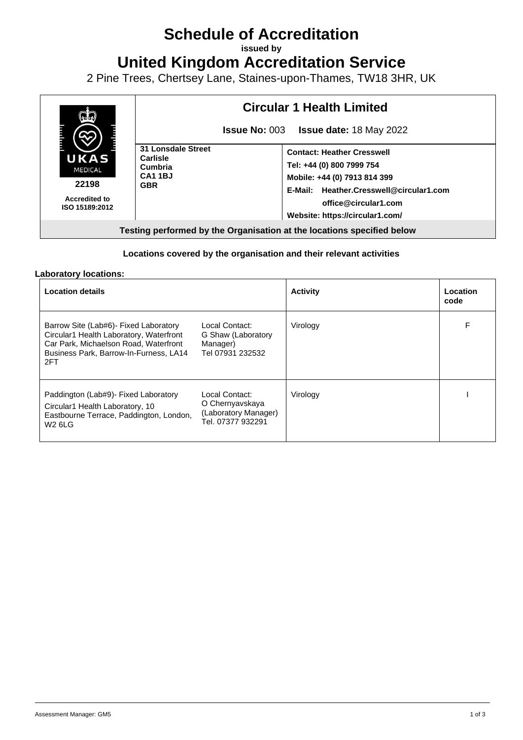## **Schedule of Accreditation**

**issued by**

**United Kingdom Accreditation Service**

2 Pine Trees, Chertsey Lane, Staines-upon-Thames, TW18 3HR, UK



## **Locations covered by the organisation and their relevant activities**

## **Laboratory locations:**

| <b>Location details</b>                                                                                                                                                     |                                                                                | <b>Activity</b> | Location<br>code |
|-----------------------------------------------------------------------------------------------------------------------------------------------------------------------------|--------------------------------------------------------------------------------|-----------------|------------------|
| Barrow Site (Lab#6) - Fixed Laboratory<br>Circular1 Health Laboratory, Waterfront<br>Car Park, Michaelson Road, Waterfront<br>Business Park, Barrow-In-Furness, LA14<br>2FT | Local Contact:<br>G Shaw (Laboratory<br>Manager)<br>Tel 07931 232532           | Virology        | F                |
| Paddington (Lab#9) - Fixed Laboratory<br>Circular1 Health Laboratory, 10<br>Eastbourne Terrace, Paddington, London,<br><b>W2 6LG</b>                                        | Local Contact:<br>O Chernyavskaya<br>(Laboratory Manager)<br>Tel. 07377 932291 | Virology        |                  |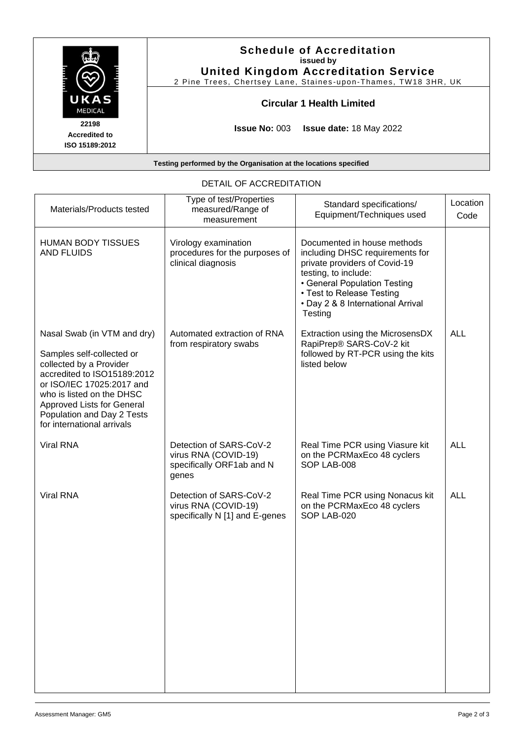| UKAS<br><b>MEDICAL</b>                          | <b>Schedule of Accreditation</b><br>issued by<br><b>United Kingdom Accreditation Service</b><br>2 Pine Trees, Chertsey Lane, Staines-upon-Thames, TW18 3HR, UK |
|-------------------------------------------------|----------------------------------------------------------------------------------------------------------------------------------------------------------------|
|                                                 | <b>Circular 1 Health Limited</b>                                                                                                                               |
| 22198<br><b>Accredited to</b><br>ISO 15189:2012 | <b>Issue No: <math>003</math></b><br><b>Issue date:</b> 18 May 2022                                                                                            |

|                                                                                                                                                                                                                                                                        | וויום שטא <i>ו</i> ושטוארו                                                            |                                                                                                                                                                                                                                      |                  |
|------------------------------------------------------------------------------------------------------------------------------------------------------------------------------------------------------------------------------------------------------------------------|---------------------------------------------------------------------------------------|--------------------------------------------------------------------------------------------------------------------------------------------------------------------------------------------------------------------------------------|------------------|
| Materials/Products tested                                                                                                                                                                                                                                              | Type of test/Properties<br>measured/Range of<br>measurement                           | Standard specifications/<br>Equipment/Techniques used                                                                                                                                                                                | Location<br>Code |
| <b>HUMAN BODY TISSUES</b><br><b>AND FLUIDS</b>                                                                                                                                                                                                                         | Virology examination<br>procedures for the purposes of<br>clinical diagnosis          | Documented in house methods<br>including DHSC requirements for<br>private providers of Covid-19<br>testing, to include:<br>• General Population Testing<br>• Test to Release Testing<br>• Day 2 & 8 International Arrival<br>Testing |                  |
| Nasal Swab (in VTM and dry)<br>Samples self-collected or<br>collected by a Provider<br>accredited to ISO15189:2012<br>or ISO/IEC 17025:2017 and<br>who is listed on the DHSC<br>Approved Lists for General<br>Population and Day 2 Tests<br>for international arrivals | Automated extraction of RNA<br>from respiratory swabs                                 | Extraction using the MicrosensDX<br>RapiPrep® SARS-CoV-2 kit<br>followed by RT-PCR using the kits<br>listed below                                                                                                                    | <b>ALL</b>       |
| <b>Viral RNA</b>                                                                                                                                                                                                                                                       | Detection of SARS-CoV-2<br>virus RNA (COVID-19)<br>specifically ORF1ab and N<br>genes | Real Time PCR using Viasure kit<br>on the PCRMaxEco 48 cyclers<br>SOP LAB-008                                                                                                                                                        | <b>ALL</b>       |
| <b>Viral RNA</b>                                                                                                                                                                                                                                                       | Detection of SARS-CoV-2<br>virus RNA (COVID-19)<br>specifically N [1] and E-genes     | Real Time PCR using Nonacus kit<br>on the PCRMaxEco 48 cyclers<br>SOP LAB-020                                                                                                                                                        | <b>ALL</b>       |

## DETAIL OF ACCREDITATION

**Testing performed by the Organisation at the locations specified**